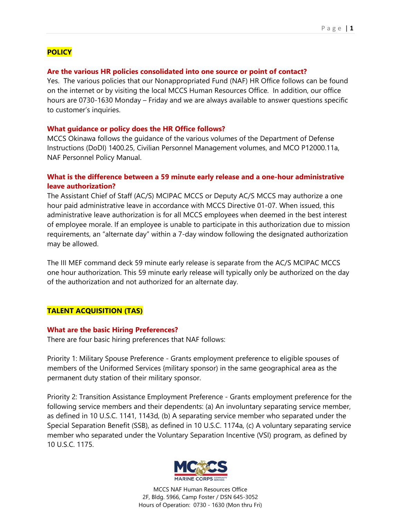# **POLICY**

## **Are the various HR policies consolidated into one source or point of contact?**

Yes. The various policies that our Nonappropriated Fund (NAF) HR Office follows can be found on the internet or by visiting the local MCCS Human Resources Office. In addition, our office hours are 0730-1630 Monday – Friday and we are always available to answer questions specific to customer's inquiries.

### **What guidance or policy does the HR Office follows?**

MCCS Okinawa follows the guidance of the various volumes of the Department of Defense Instructions (DoDI) 1400.25, Civilian Personnel Management volumes, and MCO P12000.11a, NAF Personnel Policy Manual.

## **What is the difference between a 59 minute early release and a one-hour administrative leave authorization?**

The Assistant Chief of Staff (AC/S) MCIPAC MCCS or Deputy AC/S MCCS may authorize a one hour paid administrative leave in accordance with MCCS Directive 01-07. When issued, this administrative leave authorization is for all MCCS employees when deemed in the best interest of employee morale. If an employee is unable to participate in this authorization due to mission requirements, an "alternate day" within a 7-day window following the designated authorization may be allowed.

The III MEF command deck 59 minute early release is separate from the AC/S MCIPAC MCCS one hour authorization. This 59 minute early release will typically only be authorized on the day of the authorization and not authorized for an alternate day.

# **TALENT ACQUISITION (TAS)**

### **What are the basic Hiring Preferences?**

There are four basic hiring preferences that NAF follows:

Priority 1: Military Spouse Preference - Grants employment preference to eligible spouses of members of the Uniformed Services {military sponsor) in the same geographical area as the permanent duty station of their military sponsor.

Priority 2: Transition Assistance Employment Preference - Grants employment preference for the following service members and their dependents: (a) An involuntary separating service member, as defined in 10 U.S.C. 1141, 1143d, (b) A separating service member who separated under the Special Separation Benefit (SSB), as defined in 10 U.S.C. 1174a, (c) A voluntary separating service member who separated under the Voluntary Separation Incentive (VSI) program, as defined by 10 U.S.C. 1175.

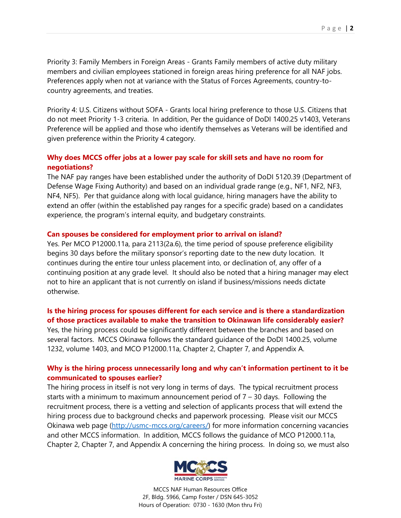Priority 3: Family Members in Foreign Areas - Grants Family members of active duty military members and civilian employees stationed in foreign areas hiring preference for all NAF jobs. Preferences apply when not at variance with the Status of Forces Agreements, country-tocountry agreements, and treaties.

Priority 4: U.S. Citizens without SOFA - Grants local hiring preference to those U.S. Citizens that do not meet Priority 1-3 criteria. In addition, Per the guidance of DoDI 1400.25 v1403, Veterans Preference will be applied and those who identify themselves as Veterans will be identified and given preference within the Priority 4 category.

# **Why does MCCS offer jobs at a lower pay scale for skill sets and have no room for negotiations?**

The NAF pay ranges have been established under the authority of DoDI 5120.39 (Department of Defense Wage Fixing Authority) and based on an individual grade range (e.g., NF1, NF2, NF3, NF4, NF5). Per that guidance along with local guidance, hiring managers have the ability to extend an offer (within the established pay ranges for a specific grade) based on a candidates experience, the program's internal equity, and budgetary constraints.

## **Can spouses be considered for employment prior to arrival on island?**

Yes. Per MCO P12000.11a, para 2113(2a.6), the time period of spouse preference eligibility begins 30 days before the military sponsor's reporting date to the new duty location. It continues during the entire tour unless placement into, or declination of, any offer of a continuing position at any grade level. It should also be noted that a hiring manager may elect not to hire an applicant that is not currently on island if business/missions needs dictate otherwise.

### **Is the hiring process for spouses different for each service and is there a standardization of those practices available to make the transition to Okinawan life considerably easier?**

Yes, the hiring process could be significantly different between the branches and based on several factors. MCCS Okinawa follows the standard guidance of the DoDI 1400.25, volume 1232, volume 1403, and MCO P12000.11a, Chapter 2, Chapter 7, and Appendix A.

## **Why is the hiring process unnecessarily long and why can't information pertinent to it be communicated to spouses earlier?**

The hiring process in itself is not very long in terms of days. The typical recruitment process starts with a minimum to maximum announcement period of  $7 - 30$  days. Following the recruitment process, there is a vetting and selection of applicants process that will extend the hiring process due to background checks and paperwork processing. Please visit our MCCS Okinawa web page (http://usmc-mccs.org/careers/) for more information concerning vacancies and other MCCS information. In addition, MCCS follows the guidance of MCO P12000.11a, Chapter 2, Chapter 7, and Appendix A concerning the hiring process. In doing so, we must also

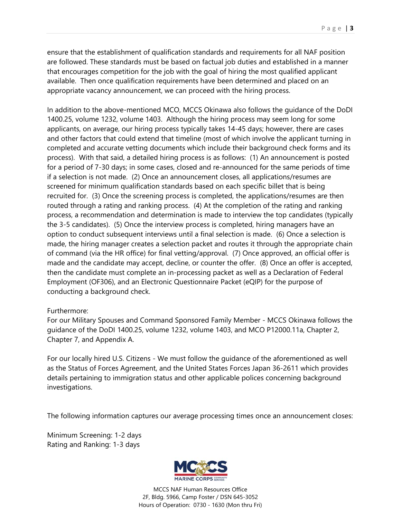ensure that the establishment of qualification standards and requirements for all NAF position are followed. These standards must be based on factual job duties and established in a manner that encourages competition for the job with the goal of hiring the most qualified applicant available. Then once qualification requirements have been determined and placed on an appropriate vacancy announcement, we can proceed with the hiring process.

In addition to the above-mentioned MCO, MCCS Okinawa also follows the guidance of the DoDI 1400.25, volume 1232, volume 1403. Although the hiring process may seem long for some applicants, on average, our hiring process typically takes 14-45 days; however, there are cases and other factors that could extend that timeline (most of which involve the applicant turning in completed and accurate vetting documents which include their background check forms and its process). With that said, a detailed hiring process is as follows: (1) An announcement is posted for a period of 7-30 days; in some cases, closed and re-announced for the same periods of time if a selection is not made. (2) Once an announcement closes, all applications/resumes are screened for minimum qualification standards based on each specific billet that is being recruited for. (3) Once the screening process is completed, the applications/resumes are then routed through a rating and ranking process. (4) At the completion of the rating and ranking process, a recommendation and determination is made to interview the top candidates (typically the 3-5 candidates). (5) Once the interview process is completed, hiring managers have an option to conduct subsequent interviews until a final selection is made. (6) Once a selection is made, the hiring manager creates a selection packet and routes it through the appropriate chain of command (via the HR office) for final vetting/approval. (7) Once approved, an official offer is made and the candidate may accept, decline, or counter the offer. (8) Once an offer is accepted, then the candidate must complete an in-processing packet as well as a Declaration of Federal Employment (OF306), and an Electronic Questionnaire Packet (eQIP) for the purpose of conducting a background check.

## Furthermore:

For our Military Spouses and Command Sponsored Family Member - MCCS Okinawa follows the guidance of the DoDI 1400.25, volume 1232, volume 1403, and MCO P12000.11a, Chapter 2, Chapter 7, and Appendix A.

For our locally hired U.S. Citizens - We must follow the guidance of the aforementioned as well as the Status of Forces Agreement, and the United States Forces Japan 36-2611 which provides details pertaining to immigration status and other applicable polices concerning background investigations.

The following information captures our average processing times once an announcement closes:

Minimum Screening: 1-2 days Rating and Ranking: 1-3 days

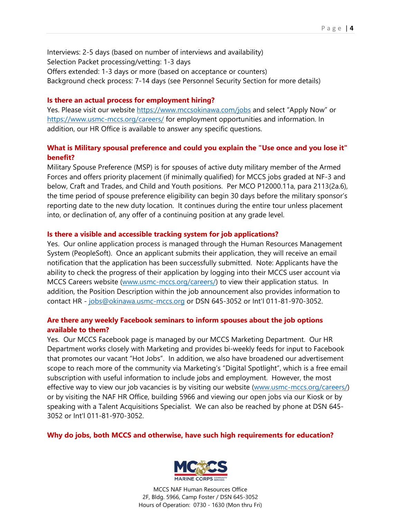Interviews: 2-5 days (based on number of interviews and availability) Selection Packet processing/vetting: 1-3 days Offers extended: 1-3 days or more (based on acceptance or counters) Background check process: 7-14 days (see Personnel Security Section for more details)

#### **Is there an actual process for employment hiring?**

Yes. Please visit our website https://www.mccsokinawa.com/jobs and select "Apply Now" or https://www.usmc-mccs.org/careers/ for employment opportunities and information. In addition, our HR Office is available to answer any specific questions.

## **What is Military spousal preference and could you explain the "Use once and you lose it" benefit?**

Military Spouse Preference (MSP) is for spouses of active duty military member of the Armed Forces and offers priority placement (if minimally qualified) for MCCS jobs graded at NF-3 and below, Craft and Trades, and Child and Youth positions. Per MCO P12000.11a, para 2113(2a.6), the time period of spouse preference eligibility can begin 30 days before the military sponsor's reporting date to the new duty location. It continues during the entire tour unless placement into, or declination of, any offer of a continuing position at any grade level.

### **Is there a visible and accessible tracking system for job applications?**

Yes. Our online application process is managed through the Human Resources Management System (PeopleSoft). Once an applicant submits their application, they will receive an email notification that the application has been successfully submitted. Note: Applicants have the ability to check the progress of their application by logging into their MCCS user account via MCCS Careers website (www.usmc-mccs.org/careers/) to view their application status. In addition, the Position Description within the job announcement also provides information to contact HR - jobs@okinawa.usmc-mccs.org or DSN 645-3052 or Int'l 011-81-970-3052.

## **Are there any weekly Facebook seminars to inform spouses about the job options available to them?**

Yes. Our MCCS Facebook page is managed by our MCCS Marketing Department. Our HR Department works closely with Marketing and provides bi-weekly feeds for input to Facebook that promotes our vacant "Hot Jobs". In addition, we also have broadened our advertisement scope to reach more of the community via Marketing's "Digital Spotlight", which is a free email subscription with useful information to include jobs and employment. However, the most effective way to view our job vacancies is by visiting our website (www.usmc-mccs.org/careers/) or by visiting the NAF HR Office, building 5966 and viewing our open jobs via our Kiosk or by speaking with a Talent Acquisitions Specialist. We can also be reached by phone at DSN 645- 3052 or Int'l 011-81-970-3052.

### **Why do jobs, both MCCS and otherwise, have such high requirements for education?**

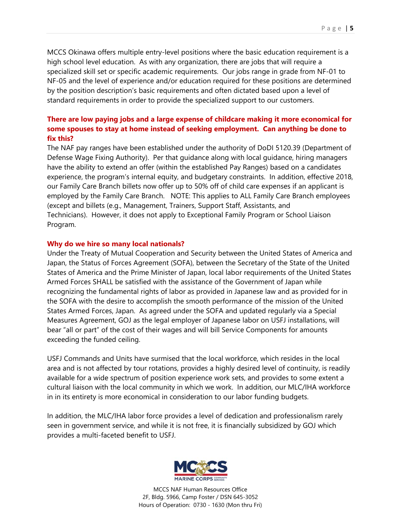MCCS Okinawa offers multiple entry-level positions where the basic education requirement is a high school level education. As with any organization, there are jobs that will require a specialized skill set or specific academic requirements. Our jobs range in grade from NF-01 to NF-05 and the level of experience and/or education required for these positions are determined by the position description's basic requirements and often dictated based upon a level of standard requirements in order to provide the specialized support to our customers.

# **There are low paying jobs and a large expense of childcare making it more economical for some spouses to stay at home instead of seeking employment. Can anything be done to fix this?**

The NAF pay ranges have been established under the authority of DoDI 5120.39 (Department of Defense Wage Fixing Authority). Per that guidance along with local guidance, hiring managers have the ability to extend an offer (within the established Pay Ranges) based on a candidates experience, the program's internal equity, and budgetary constraints. In addition, effective 2018, our Family Care Branch billets now offer up to 50% off of child care expenses if an applicant is employed by the Family Care Branch. NOTE: This applies to ALL Family Care Branch employees (except and billets (e.g., Management, Trainers, Support Staff, Assistants, and Technicians). However, it does not apply to Exceptional Family Program or School Liaison Program.

### **Why do we hire so many local nationals?**

Under the Treaty of Mutual Cooperation and Security between the United States of America and Japan, the Status of Forces Agreement (SOFA), between the Secretary of the State of the United States of America and the Prime Minister of Japan, local labor requirements of the United States Armed Forces SHALL be satisfied with the assistance of the Government of Japan while recognizing the fundamental rights of labor as provided in Japanese law and as provided for in the SOFA with the desire to accomplish the smooth performance of the mission of the United States Armed Forces, Japan. As agreed under the SOFA and updated regularly via a Special Measures Agreement, GOJ as the legal employer of Japanese labor on USFJ installations, will bear "all or part" of the cost of their wages and will bill Service Components for amounts exceeding the funded ceiling.

USFJ Commands and Units have surmised that the local workforce, which resides in the local area and is not affected by tour rotations, provides a highly desired level of continuity, is readily available for a wide spectrum of position experience work sets, and provides to some extent a cultural liaison with the local community in which we work. In addition, our MLC/IHA workforce in in its entirety is more economical in consideration to our labor funding budgets.

In addition, the MLC/IHA labor force provides a level of dedication and professionalism rarely seen in government service, and while it is not free, it is financially subsidized by GOJ which provides a multi-faceted benefit to USFJ.

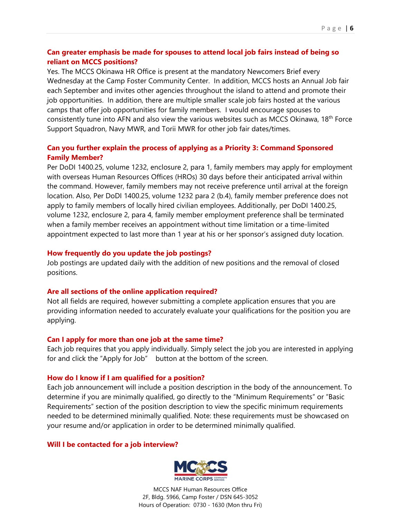## **Can greater emphasis be made for spouses to attend local job fairs instead of being so reliant on MCCS positions?**

Yes. The MCCS Okinawa HR Office is present at the mandatory Newcomers Brief every Wednesday at the Camp Foster Community Center. In addition, MCCS hosts an Annual Job fair each September and invites other agencies throughout the island to attend and promote their job opportunities. In addition, there are multiple smaller scale job fairs hosted at the various camps that offer job opportunities for family members. I would encourage spouses to consistently tune into AFN and also view the various websites such as MCCS Okinawa, 18<sup>th</sup> Force Support Squadron, Navy MWR, and Torii MWR for other job fair dates/times.

## **Can you further explain the process of applying as a Priority 3: Command Sponsored Family Member?**

Per DoDI 1400.25, volume 1232, enclosure 2, para 1, family members may apply for employment with overseas Human Resources Offices (HROs) 30 days before their anticipated arrival within the command. However, family members may not receive preference until arrival at the foreign location. Also, Per DoDI 1400.25, volume 1232 para 2 (b.4), family member preference does not apply to family members of locally hired civilian employees. Additionally, per DoDI 1400.25, volume 1232, enclosure 2, para 4, family member employment preference shall be terminated when a family member receives an appointment without time limitation or a time-limited appointment expected to last more than 1 year at his or her sponsor's assigned duty location.

### **How frequently do you update the job postings?**

Job postings are updated daily with the addition of new positions and the removal of closed positions.

## **Are all sections of the online application required?**

Not all fields are required, however submitting a complete application ensures that you are providing information needed to accurately evaluate your qualifications for the position you are applying.

## **Can I apply for more than one job at the same time?**

Each job requires that you apply individually. Simply select the job you are interested in applying for and click the "Apply for Job" button at the bottom of the screen.

## **How do I know if I am qualified for a position?**

Each job announcement will include a position description in the body of the announcement. To determine if you are minimally qualified, go directly to the "Minimum Requirements" or "Basic Requirements" section of the position description to view the specific minimum requirements needed to be determined minimally qualified. Note: these requirements must be showcased on your resume and/or application in order to be determined minimally qualified.

## **Will I be contacted for a job interview?**

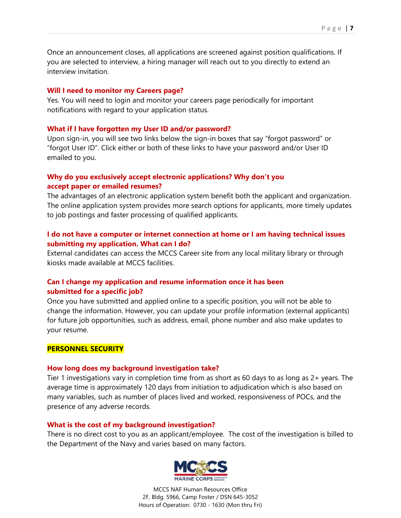Once an announcement closes, all applications are screened against position qualifications. If you are selected to interview, a hiring manager will reach out to you directly to extend an interview invitation.

#### **Will I need to monitor my Careers page?**

Yes. You will need to login and monitor your careers page periodically for important notifications with regard to your application status.

#### **What if I have forgotten my User ID and/or password?**

Upon sign-in, you will see two links below the sign-in boxes that say "forgot password" or "forgot User ID". Click either or both of these links to have your password and/or User ID emailed to you.

# **Why do you exclusively accept electronic applications? Why don't you accept paper or emailed resumes?**

The advantages of an electronic application system benefit both the applicant and organization. The online application system provides more search options for applicants, more timely updates to job postings and faster processing of qualified applicants.

## **I do not have a computer or internet connection at home or I am having technical issues submitting my application. What can I do?**

External candidates can access the MCCS Career site from any local military library or through kiosks made available at MCCS facilities.

## **Can I change my application and resume information once it has been submitted for a specific job?**

Once you have submitted and applied online to a specific position, you will not be able to change the information. However, you can update your profile information (external applicants) for future job opportunities, such as address, email, phone number and also make updates to your resume.

### **PERSONNEL SECURITY**

#### **How long does my background investigation take?**

Tier 1 investigations vary in completion time from as short as 60 days to as long as 2+ years. The average time is approximately 120 days from initiation to adjudication which is also based on many variables, such as number of places lived and worked, responsiveness of POCs, and the presence of any adverse records.

### **What is the cost of my background investigation?**

There is no direct cost to you as an applicant/employee. The cost of the investigation is billed to the Department of the Navy and varies based on many factors.

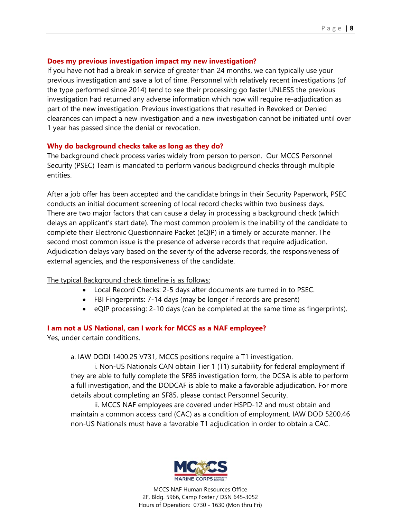## **Does my previous investigation impact my new investigation?**

If you have not had a break in service of greater than 24 months, we can typically use your previous investigation and save a lot of time. Personnel with relatively recent investigations (of the type performed since 2014) tend to see their processing go faster UNLESS the previous investigation had returned any adverse information which now will require re-adjudication as part of the new investigation. Previous investigations that resulted in Revoked or Denied clearances can impact a new investigation and a new investigation cannot be initiated until over 1 year has passed since the denial or revocation.

### **Why do background checks take as long as they do?**

The background check process varies widely from person to person. Our MCCS Personnel Security (PSEC) Team is mandated to perform various background checks through multiple entities.

After a job offer has been accepted and the candidate brings in their Security Paperwork, PSEC conducts an initial document screening of local record checks within two business days. There are two major factors that can cause a delay in processing a background check (which delays an applicant's start date). The most common problem is the inability of the candidate to complete their Electronic Questionnaire Packet (eQIP) in a timely or accurate manner. The second most common issue is the presence of adverse records that require adjudication. Adjudication delays vary based on the severity of the adverse records, the responsiveness of external agencies, and the responsiveness of the candidate.

### The typical Background check timeline is as follows:

- Local Record Checks: 2-5 days after documents are turned in to PSEC.
- FBI Fingerprints: 7-14 days (may be longer if records are present)
- eQIP processing: 2-10 days (can be completed at the same time as fingerprints).

## **I am not a US National, can I work for MCCS as a NAF employee?**

Yes, under certain conditions.

a. IAW DODI 1400.25 V731, MCCS positions require a T1 investigation.

i. Non-US Nationals CAN obtain Tier 1 (T1) suitability for federal employment if they are able to fully complete the SF85 investigation form, the DCSA is able to perform a full investigation, and the DODCAF is able to make a favorable adjudication. For more details about completing an SF85, please contact Personnel Security.

ii. MCCS NAF employees are covered under HSPD-12 and must obtain and maintain a common access card (CAC) as a condition of employment. IAW DOD 5200.46 non-US Nationals must have a favorable T1 adjudication in order to obtain a CAC.

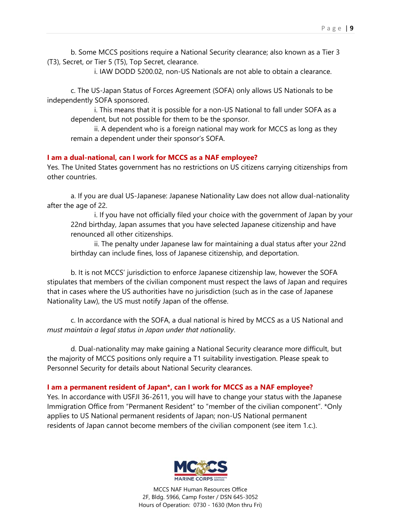b. Some MCCS positions require a National Security clearance; also known as a Tier 3 (T3), Secret, or Tier 5 (T5), Top Secret, clearance.

i. IAW DODD 5200.02, non-US Nationals are not able to obtain a clearance.

c. The US-Japan Status of Forces Agreement (SOFA) only allows US Nationals to be independently SOFA sponsored.

i. This means that it is possible for a non-US National to fall under SOFA as a dependent, but not possible for them to be the sponsor.

ii. A dependent who is a foreign national may work for MCCS as long as they remain a dependent under their sponsor's SOFA.

#### **I am a dual-national, can I work for MCCS as a NAF employee?**

Yes. The United States government has no restrictions on US citizens carrying citizenships from other countries.

a. If you are dual US-Japanese: Japanese Nationality Law does not allow dual-nationality after the age of 22.

i. If you have not officially filed your choice with the government of Japan by your 22nd birthday, Japan assumes that you have selected Japanese citizenship and have renounced all other citizenships.

ii. The penalty under Japanese law for maintaining a dual status after your 22nd birthday can include fines, loss of Japanese citizenship, and deportation.

b. It is not MCCS' jurisdiction to enforce Japanese citizenship law, however the SOFA stipulates that members of the civilian component must respect the laws of Japan and requires that in cases where the US authorities have no jurisdiction (such as in the case of Japanese Nationality Law), the US must notify Japan of the offense.

c. In accordance with the SOFA, a dual national is hired by MCCS as a US National and *must maintain a legal status in Japan under that nationality*.

d. Dual-nationality may make gaining a National Security clearance more difficult, but the majority of MCCS positions only require a T1 suitability investigation. Please speak to Personnel Security for details about National Security clearances.

#### **I am a permanent resident of Japan\*, can I work for MCCS as a NAF employee?**

Yes. In accordance with USFJI 36-2611, you will have to change your status with the Japanese Immigration Office from "Permanent Resident" to "member of the civilian component". \*Only applies to US National permanent residents of Japan; non-US National permanent residents of Japan cannot become members of the civilian component (see item 1.c.).

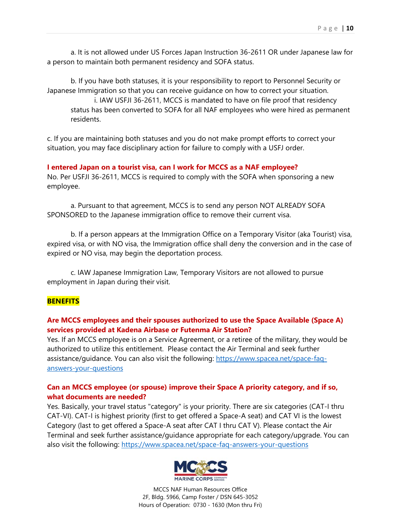a. It is not allowed under US Forces Japan Instruction 36-2611 OR under Japanese law for a person to maintain both permanent residency and SOFA status.

b. If you have both statuses, it is your responsibility to report to Personnel Security or Japanese Immigration so that you can receive guidance on how to correct your situation. i. IAW USFJI 36-2611, MCCS is mandated to have on file proof that residency status has been converted to SOFA for all NAF employees who were hired as permanent residents.

c. If you are maintaining both statuses and you do not make prompt efforts to correct your situation, you may face disciplinary action for failure to comply with a USFJ order.

**I entered Japan on a tourist visa, can I work for MCCS as a NAF employee?**  No. Per USFJI 36-2611, MCCS is required to comply with the SOFA when sponsoring a new employee.

a. Pursuant to that agreement, MCCS is to send any person NOT ALREADY SOFA SPONSORED to the Japanese immigration office to remove their current visa.

b. If a person appears at the Immigration Office on a Temporary Visitor (aka Tourist) visa, expired visa, or with NO visa, the Immigration office shall deny the conversion and in the case of expired or NO visa, may begin the deportation process.

c. IAW Japanese Immigration Law, Temporary Visitors are not allowed to pursue employment in Japan during their visit.

### **BENEFITS**

## **Are MCCS employees and their spouses authorized to use the Space Available (Space A) services provided at Kadena Airbase or Futenma Air Station?**

Yes. If an MCCS employee is on a Service Agreement, or a retiree of the military, they would be authorized to utilize this entitlement. Please contact the Air Terminal and seek further assistance/guidance. You can also visit the following: https://www.spacea.net/space-faqanswers-your-questions

## **Can an MCCS employee (or spouse) improve their Space A priority category, and if so, what documents are needed?**

Yes. Basically, your travel status "category" is your priority. There are six categories (CAT-I thru CAT-VI). CAT-I is highest priority (first to get offered a Space-A seat) and CAT VI is the lowest Category (last to get offered a Space-A seat after CAT I thru CAT V). Please contact the Air Terminal and seek further assistance/guidance appropriate for each category/upgrade. You can also visit the following: https://www.spacea.net/space-faq-answers-your-questions